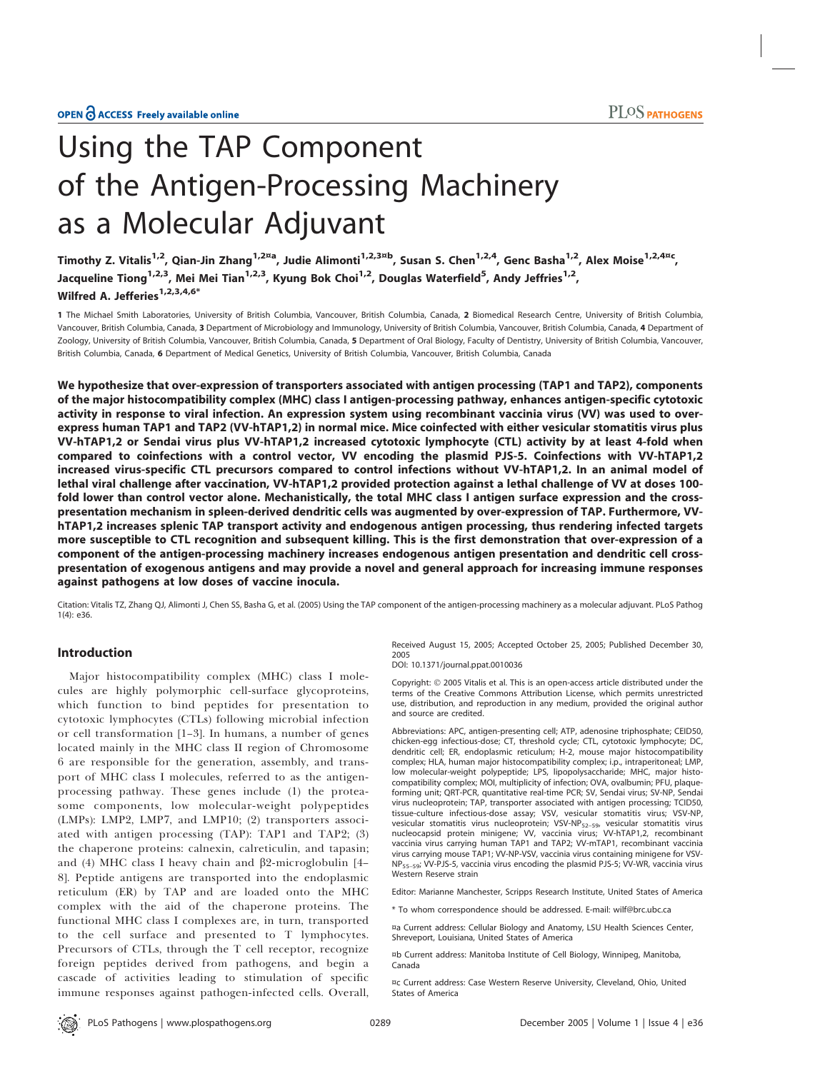# Using the TAP Component of the Antigen-Processing Machinery as a Molecular Adjuvant

Timothy Z. Vitalis<sup>1,2</sup>, Qian-Jin Zhang<sup>1,2¤a</sup>, Judie Alimonti<sup>1,2,3¤b</sup>, Susan S. Chen<sup>1,2,4</sup>, Genc Basha<sup>1,2</sup>, Alex Moise<sup>1,2,4¤c</sup>, Jacqueline Tiong $^{1,2,3}$ , Mei Mei Tian $^{1,2,3}$ , Kyung Bok Choi $^{1,2}$ , Douglas Waterfield $^5$ , Andy Jeffries $^{1,2}$ , Wilfred A. Jefferies $1,2,3,4,6*$ 

1 The Michael Smith Laboratories, University of British Columbia, Vancouver, British Columbia, Canada, 2 Biomedical Research Centre, University of British Columbia, Vancouver, British Columbia, Canada, 3 Department of Microbiology and Immunology, University of British Columbia, Vancouver, British Columbia, Canada, 4 Department of Zoology, University of British Columbia, Vancouver, British Columbia, Canada, 5 Department of Oral Biology, Faculty of Dentistry, University of British Columbia, Vancouver, British Columbia, Canada, 6 Department of Medical Genetics, University of British Columbia, Vancouver, British Columbia, Canada

We hypothesize that over-expression of transporters associated with antigen processing (TAP1 and TAP2), components of the major histocompatibility complex (MHC) class I antigen-processing pathway, enhances antigen-specific cytotoxic activity in response to viral infection. An expression system using recombinant vaccinia virus (VV) was used to overexpress human TAP1 and TAP2 (VV-hTAP1,2) in normal mice. Mice coinfected with either vesicular stomatitis virus plus VV-hTAP1,2 or Sendai virus plus VV-hTAP1,2 increased cytotoxic lymphocyte (CTL) activity by at least 4-fold when compared to coinfections with a control vector, VV encoding the plasmid PJS-5. Coinfections with VV-hTAP1,2 increased virus-specific CTL precursors compared to control infections without VV-hTAP1,2. In an animal model of lethal viral challenge after vaccination, VV-hTAP1,2 provided protection against a lethal challenge of VV at doses 100 fold lower than control vector alone. Mechanistically, the total MHC class I antigen surface expression and the crosspresentation mechanism in spleen-derived dendritic cells was augmented by over-expression of TAP. Furthermore, VVhTAP1,2 increases splenic TAP transport activity and endogenous antigen processing, thus rendering infected targets more susceptible to CTL recognition and subsequent killing. This is the first demonstration that over-expression of a component of the antigen-processing machinery increases endogenous antigen presentation and dendritic cell crosspresentation of exogenous antigens and may provide a novel and general approach for increasing immune responses against pathogens at low doses of vaccine inocula.

Citation: Vitalis TZ, Zhang QJ, Alimonti J, Chen SS, Basha G, et al. (2005) Using the TAP component of the antigen-processing machinery as a molecular adjuvant. PLoS Pathog 1(4): e36.

# Introduction

Major histocompatibility complex (MHC) class I molecules are highly polymorphic cell-surface glycoproteins, which function to bind peptides for presentation to cytotoxic lymphocytes (CTLs) following microbial infection or cell transformation [1–3]. In humans, a number of genes located mainly in the MHC class II region of Chromosome 6 are responsible for the generation, assembly, and transport of MHC class I molecules, referred to as the antigenprocessing pathway. These genes include (1) the proteasome components, low molecular-weight polypeptides (LMPs): LMP2, LMP7, and LMP10; (2) transporters associated with antigen processing (TAP): TAP1 and TAP2; (3) the chaperone proteins: calnexin, calreticulin, and tapasin; and (4) MHC class I heavy chain and  $\beta$ 2-microglobulin [4– 8]. Peptide antigens are transported into the endoplasmic reticulum (ER) by TAP and are loaded onto the MHC complex with the aid of the chaperone proteins. The functional MHC class I complexes are, in turn, transported to the cell surface and presented to T lymphocytes. Precursors of CTLs, through the T cell receptor, recognize foreign peptides derived from pathogens, and begin a cascade of activities leading to stimulation of specific immune responses against pathogen-infected cells. Overall,

Received August 15, 2005; Accepted October 25, 2005; Published December 30, 2005

DOI: 10.1371/journal.ppat.0010036

Copyright: © 2005 Vitalis et al. This is an open-access article distributed under the terms of the Creative Commons Attribution License, which permits unrestricted use, distribution, and reproduction in any medium, provided the original author and source are credited.

Abbreviations: APC, antigen-presenting cell; ATP, adenosine triphosphate; CEID50, chicken-egg infectious-dose; CT, threshold cycle; CTL, cytotoxic lymphocyte; DC, dendritic cell; ER, endoplasmic reticulum; H-2, mouse major histocompatibility complex; HLA, human major histocompatibility complex; i.p., intraperitoneal; LMP, low molecular-weight polypeptide; LPS, lipopolysaccharide; MHC, major histocompatibility complex; MOI, multiplicity of infection; OVA, ovalbumin; PFU, plaqueforming unit; QRT-PCR, quantitative real-time PCR; SV, Sendai virus; SV-NP, Sendai virus nucleoprotein; TAP, transporter associated with antigen processing; TCID50, tissue-culture infectious-dose assay; VSV, vesicular stomatitis virus; VSV-NP, vesicular stomatitis virus nucleoprotein; VSV-NP<sub>52–59</sub>, vesicular stomatitis virus<br>nucleocapsid protein minigene; VV, vaccinia virus; VV-hTAP1,2, recombinant vaccinia virus carrying human TAP1 and TAP2; VV-mTAP1, recombinant vaccinia virus carrying mouse TAP1; VV-NP-VSV, vaccinia virus containing minigene for VSV-NP55–59; VV-PJS-5, vaccinia virus encoding the plasmid PJS-5; VV-WR, vaccinia virus Western Reserve strain

Editor: Marianne Manchester, Scripps Research Institute, United States of America

\* To whom correspondence should be addressed. E-mail: wilf@brc.ubc.ca

¤a Current address: Cellular Biology and Anatomy, LSU Health Sciences Center, Shreveport, Louisiana, United States of America

¤b Current address: Manitoba Institute of Cell Biology, Winnipeg, Manitoba, Canada

¤c Current address: Case Western Reserve University, Cleveland, Ohio, United States of America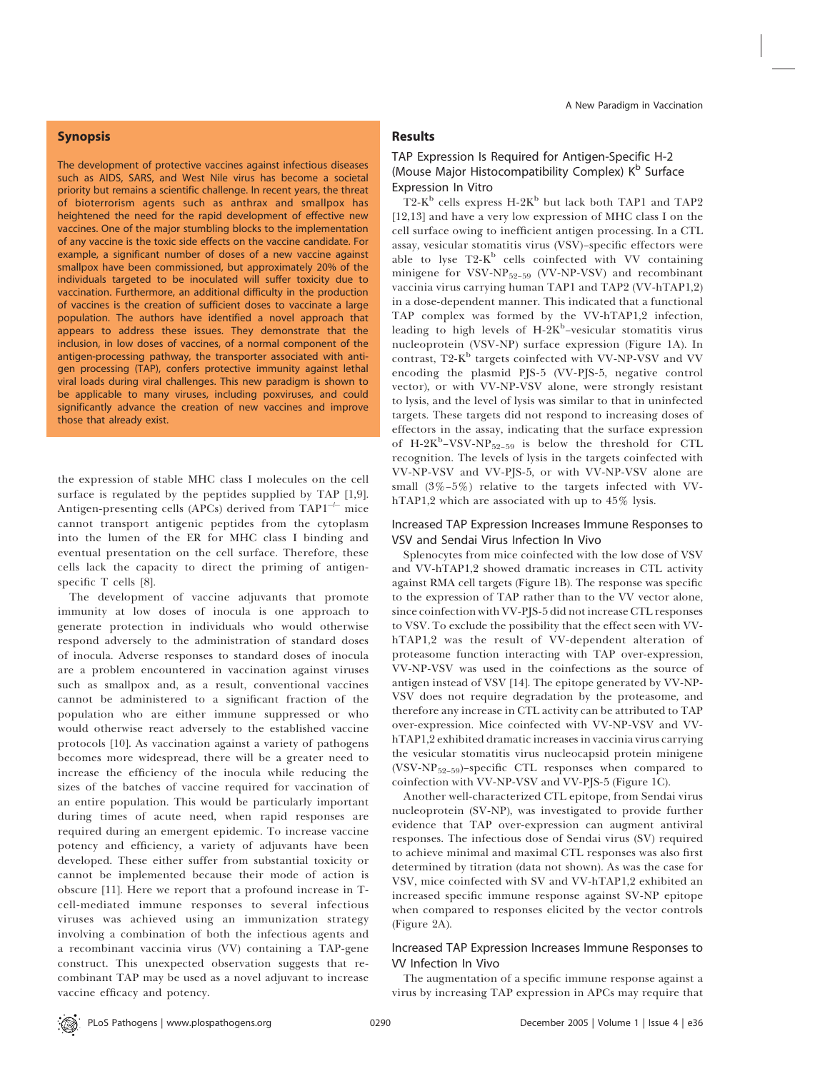## Synopsis

The development of protective vaccines against infectious diseases such as AIDS, SARS, and West Nile virus has become a societal priority but remains a scientific challenge. In recent years, the threat of bioterrorism agents such as anthrax and smallpox has heightened the need for the rapid development of effective new vaccines. One of the major stumbling blocks to the implementation of any vaccine is the toxic side effects on the vaccine candidate. For example, a significant number of doses of a new vaccine against smallpox have been commissioned, but approximately 20% of the individuals targeted to be inoculated will suffer toxicity due to vaccination. Furthermore, an additional difficulty in the production of vaccines is the creation of sufficient doses to vaccinate a large population. The authors have identified a novel approach that appears to address these issues. They demonstrate that the inclusion, in low doses of vaccines, of a normal component of the antigen-processing pathway, the transporter associated with antigen processing (TAP), confers protective immunity against lethal viral loads during viral challenges. This new paradigm is shown to be applicable to many viruses, including poxviruses, and could significantly advance the creation of new vaccines and improve those that already exist.

the expression of stable MHC class I molecules on the cell surface is regulated by the peptides supplied by TAP [1,9]. Antigen-presenting cells (APCs) derived from TAP1<sup>-1-</sup> mice cannot transport antigenic peptides from the cytoplasm into the lumen of the ER for MHC class I binding and eventual presentation on the cell surface. Therefore, these cells lack the capacity to direct the priming of antigenspecific T cells [8].

The development of vaccine adjuvants that promote immunity at low doses of inocula is one approach to generate protection in individuals who would otherwise respond adversely to the administration of standard doses of inocula. Adverse responses to standard doses of inocula are a problem encountered in vaccination against viruses such as smallpox and, as a result, conventional vaccines cannot be administered to a significant fraction of the population who are either immune suppressed or who would otherwise react adversely to the established vaccine protocols [10]. As vaccination against a variety of pathogens becomes more widespread, there will be a greater need to increase the efficiency of the inocula while reducing the sizes of the batches of vaccine required for vaccination of an entire population. This would be particularly important during times of acute need, when rapid responses are required during an emergent epidemic. To increase vaccine potency and efficiency, a variety of adjuvants have been developed. These either suffer from substantial toxicity or cannot be implemented because their mode of action is obscure [11]. Here we report that a profound increase in Tcell-mediated immune responses to several infectious viruses was achieved using an immunization strategy involving a combination of both the infectious agents and a recombinant vaccinia virus (VV) containing a TAP-gene construct. This unexpected observation suggests that recombinant TAP may be used as a novel adjuvant to increase vaccine efficacy and potency.

#### Results

# TAP Expression Is Required for Antigen-Specific H-2 (Mouse Major Histocompatibility Complex)  $K^b$  Surface Expression In Vitro

 $T2-K^b$  cells express  $H-2K^b$  but lack both TAP1 and TAP2 [12,13] and have a very low expression of MHC class I on the cell surface owing to inefficient antigen processing. In a CTL assay, vesicular stomatitis virus (VSV)–specific effectors were able to lyse  $T2-K^b$  cells coinfected with VV containing minigene for VSV-NP52–59 (VV-NP-VSV) and recombinant vaccinia virus carrying human TAP1 and TAP2 (VV-hTAP1,2) in a dose-dependent manner. This indicated that a functional TAP complex was formed by the VV-hTAP1,2 infection, leading to high levels of H-2K<sup>b</sup>-vesicular stomatitis virus nucleoprotein (VSV-NP) surface expression (Figure 1A). In contrast,  $T2-K^b$  targets coinfected with VV-NP-VSV and VV encoding the plasmid PJS-5 (VV-PJS-5, negative control vector), or with VV-NP-VSV alone, were strongly resistant to lysis, and the level of lysis was similar to that in uninfected targets. These targets did not respond to increasing doses of effectors in the assay, indicating that the surface expression of H-2K<sup>b</sup>-VSV-NP<sub>52-59</sub> is below the threshold for CTL recognition. The levels of lysis in the targets coinfected with VV-NP-VSV and VV-PJS-5, or with VV-NP-VSV alone are small (3%–5%) relative to the targets infected with VVhTAP1,2 which are associated with up to 45% lysis.

## Increased TAP Expression Increases Immune Responses to VSV and Sendai Virus Infection In Vivo

Splenocytes from mice coinfected with the low dose of VSV and VV-hTAP1,2 showed dramatic increases in CTL activity against RMA cell targets (Figure 1B). The response was specific to the expression of TAP rather than to the VV vector alone, since coinfection with VV-PJS-5 did not increase CTL responses to VSV. To exclude the possibility that the effect seen with VVhTAP1,2 was the result of VV-dependent alteration of proteasome function interacting with TAP over-expression, VV-NP-VSV was used in the coinfections as the source of antigen instead of VSV [14]. The epitope generated by VV-NP-VSV does not require degradation by the proteasome, and therefore any increase in CTL activity can be attributed to TAP over-expression. Mice coinfected with VV-NP-VSV and VVhTAP1,2 exhibited dramatic increases in vaccinia virus carrying the vesicular stomatitis virus nucleocapsid protein minigene (VSV-NP52–59)–specific CTL responses when compared to coinfection with VV-NP-VSV and VV-PJS-5 (Figure 1C).

Another well-characterized CTL epitope, from Sendai virus nucleoprotein (SV-NP), was investigated to provide further evidence that TAP over-expression can augment antiviral responses. The infectious dose of Sendai virus (SV) required to achieve minimal and maximal CTL responses was also first determined by titration (data not shown). As was the case for VSV, mice coinfected with SV and VV-hTAP1,2 exhibited an increased specific immune response against SV-NP epitope when compared to responses elicited by the vector controls (Figure 2A).

# Increased TAP Expression Increases Immune Responses to VV Infection In Vivo

The augmentation of a specific immune response against a virus by increasing TAP expression in APCs may require that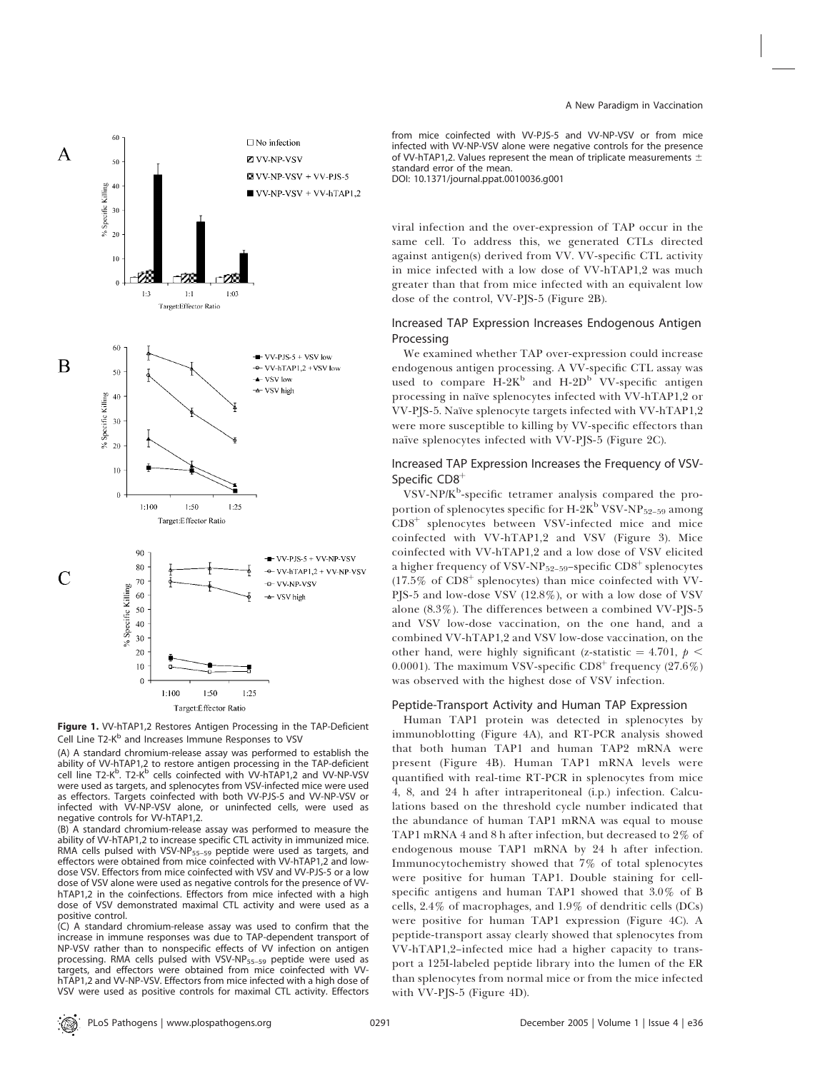

Target: Effector Ratio

Figure 1. VV-hTAP1,2 Restores Antigen Processing in the TAP-Deficient Cell Line T2-K<sup>b</sup> and Increases Immune Responses to VSV

(A) A standard chromium-release assay was performed to establish the ability of VV-hTAP1,2 to restore antigen processing in the TAP-deficient<br>cell line T2-K<sup>b</sup>. T2-K<sup>b</sup> cells coinfected with VV-hTAP1,2 and VV-NP-VSV were used as targets, and splenocytes from VSV-infected mice were used as effectors. Targets coinfected with both VV-PJS-5 and VV-NP-VSV or infected with VV-NP-VSV alone, or uninfected cells, were used as negative controls for VV-hTAP1,2.

(B) A standard chromium-release assay was performed to measure the ability of VV-hTAP1,2 to increase specific CTL activity in immunized mice. RMA cells pulsed with VSV-NP<sub>55–59</sub> peptide were used as targets, and effectors were obtained from mice coinfected with VV-hTAP1,2 and lowdose VSV. Effectors from mice coinfected with VSV and VV-PJS-5 or a low dose of VSV alone were used as negative controls for the presence of VVhTAP1,2 in the coinfections. Effectors from mice infected with a high dose of VSV demonstrated maximal CTL activity and were used as a positive control.

(C) A standard chromium-release assay was used to confirm that the increase in immune responses was due to TAP-dependent transport of NP-VSV rather than to nonspecific effects of VV infection on antigen processing. RMA cells pulsed with VSV-NP<sub>55-59</sub> peptide were used as targets, and effectors were obtained from mice coinfected with VVhTAP1,2 and VV-NP-VSV. Effectors from mice infected with a high dose of VSV were used as positive controls for maximal CTL activity. Effectors

from mice coinfected with VV-PJS-5 and VV-NP-VSV or from mice infected with VV-NP-VSV alone were negative controls for the presence of VV-hTAP1,2. Values represent the mean of triplicate measurements  $\pm$ standard error of the mean. DOI: 10.1371/journal.ppat.0010036.g001

viral infection and the over-expression of TAP occur in the same cell. To address this, we generated CTLs directed against antigen(s) derived from VV. VV-specific CTL activity in mice infected with a low dose of VV-hTAP1,2 was much greater than that from mice infected with an equivalent low dose of the control, VV-PJS-5 (Figure 2B).

# Increased TAP Expression Increases Endogenous Antigen Processing

We examined whether TAP over-expression could increase endogenous antigen processing. A VV-specific CTL assay was used to compare  $H-2K^b$  and  $H-2D^b$  VV-specific antigen processing in naïve splenocytes infected with VV-hTAP1,2 or VV-PJS-5. Naïve splenocyte targets infected with VV-hTAP1,2 were more susceptible to killing by VV-specific effectors than naïve splenocytes infected with VV-PJS-5 (Figure 2C).

## Increased TAP Expression Increases the Frequency of VSV-Specific  $CD8<sup>+</sup>$

VSV-NP/K<sup>b</sup>-specific tetramer analysis compared the proportion of splenocytes specific for H-2K<sup>b</sup> VSV-NP<sub>52–59</sub> among  $CD8<sup>+</sup>$  splenocytes between VSV-infected mice and mice coinfected with VV-hTAP1,2 and VSV (Figure 3). Mice coinfected with VV-hTAP1,2 and a low dose of VSV elicited a higher frequency of VSV-NP<sub>52–59</sub>–specific  $CD8^+$  splenocytes  $(17.5\% \text{ of } CDS^+ \text{ splenocytes})$  than mice coinfected with VV-PJS-5 and low-dose VSV (12.8%), or with a low dose of VSV alone  $(8.3\%)$ . The differences between a combined VV-PJS-5 and VSV low-dose vaccination, on the one hand, and a combined VV-hTAP1,2 and VSV low-dose vaccination, on the other hand, were highly significant (z-statistic = 4.701,  $p$  < 0.0001). The maximum VSV-specific  $CD8^+$  frequency (27.6%) was observed with the highest dose of VSV infection.

### Peptide-Transport Activity and Human TAP Expression

Human TAP1 protein was detected in splenocytes by immunoblotting (Figure 4A), and RT-PCR analysis showed that both human TAP1 and human TAP2 mRNA were present (Figure 4B). Human TAP1 mRNA levels were quantified with real-time RT-PCR in splenocytes from mice 4, 8, and 24 h after intraperitoneal (i.p.) infection. Calculations based on the threshold cycle number indicated that the abundance of human TAP1 mRNA was equal to mouse TAP1 mRNA 4 and 8 h after infection, but decreased to 2% of endogenous mouse TAP1 mRNA by 24 h after infection. Immunocytochemistry showed that 7% of total splenocytes were positive for human TAP1. Double staining for cellspecific antigens and human TAP1 showed that 3.0% of B cells, 2.4% of macrophages, and 1.9% of dendritic cells (DCs) were positive for human TAP1 expression (Figure 4C). A peptide-transport assay clearly showed that splenocytes from VV-hTAP1,2–infected mice had a higher capacity to transport a 125I-labeled peptide library into the lumen of the ER than splenocytes from normal mice or from the mice infected with VV-PJS-5 (Figure 4D).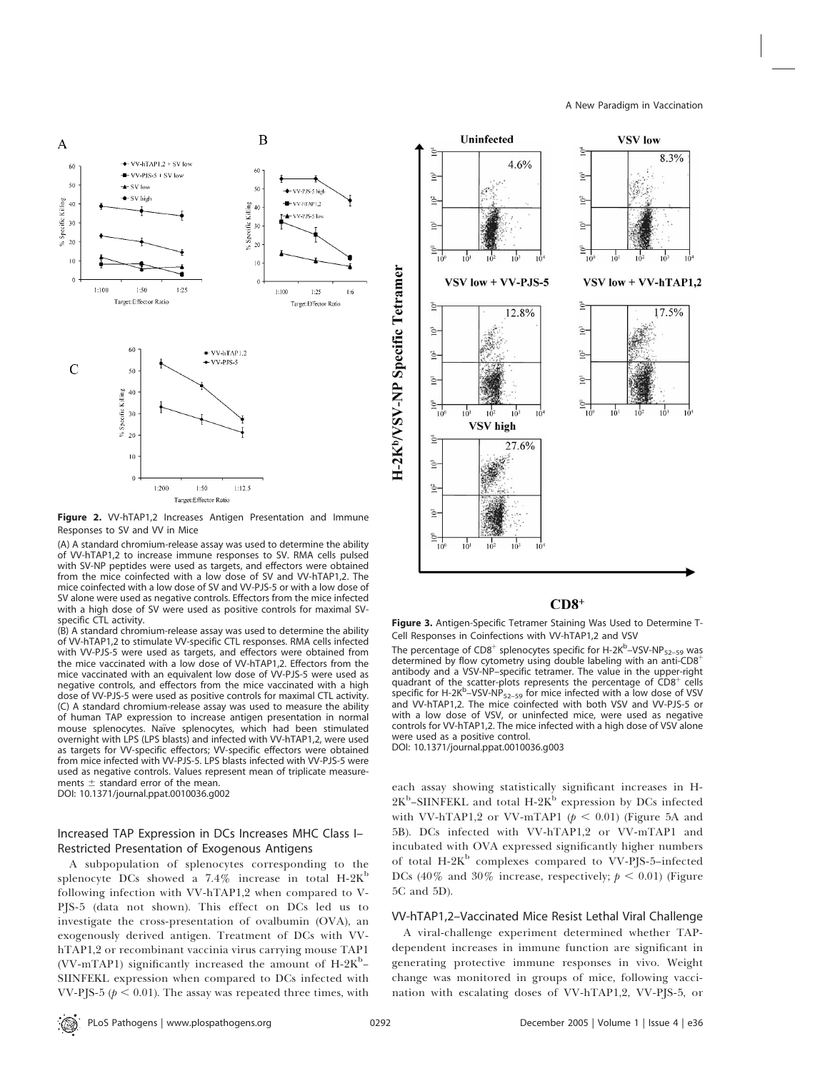

Figure 2. VV-hTAP1,2 Increases Antigen Presentation and Immune Responses to SV and VV in Mice

(A) A standard chromium-release assay was used to determine the ability of VV-hTAP1,2 to increase immune responses to SV. RMA cells pulsed with SV-NP peptides were used as targets, and effectors were obtained from the mice coinfected with a low dose of SV and VV-hTAP1,2. The mice coinfected with a low dose of SV and VV-PJS-5 or with a low dose of SV alone were used as negative controls. Effectors from the mice infected with a high dose of SV were used as positive controls for maximal SVspecific CTL activity.

(B) A standard chromium-release assay was used to determine the ability of VV-hTAP1,2 to stimulate VV-specific CTL responses. RMA cells infected with VV-PJS-5 were used as targets, and effectors were obtained from the mice vaccinated with a low dose of VV-hTAP1,2. Effectors from the mice vaccinated with an equivalent low dose of VV-PJS-5 were used as negative controls, and effectors from the mice vaccinated with a high dose of VV-PJS-5 were used as positive controls for maximal CTL activity. (C) A standard chromium-release assay was used to measure the ability of human TAP expression to increase antigen presentation in normal mouse splenocytes. Naïve splenocytes, which had been stimulated overnight with LPS (LPS blasts) and infected with VV-hTAP1,2, were used as targets for VV-specific effectors; VV-specific effectors were obtained from mice infected with VV-PJS-5. LPS blasts infected with VV-PJS-5 were used as negative controls. Values represent mean of triplicate measurements  $\pm$  standard error of the mean. DOI: 10.1371/journal.ppat.0010036.g002

# Increased TAP Expression in DCs Increases MHC Class I– Restricted Presentation of Exogenous Antigens

A subpopulation of splenocytes corresponding to the splenocyte DCs showed a  $7.4\%$  increase in total H-2K<sup>b</sup> following infection with VV-hTAP1,2 when compared to V-PJS-5 (data not shown). This effect on DCs led us to investigate the cross-presentation of ovalbumin (OVA), an exogenously derived antigen. Treatment of DCs with VVhTAP1,2 or recombinant vaccinia virus carrying mouse TAP1 (VV-mTAP1) significantly increased the amount of H-2K<sup>b</sup>-SIINFEKL expression when compared to DCs infected with VV-PJS-5 ( $p < 0.01$ ). The assay was repeated three times, with



# $CD8<sup>+</sup>$

Figure 3. Antigen-Specific Tetramer Staining Was Used to Determine T-Cell Responses in Coinfections with VV-hTAP1,2 and VSV

The percentage of CD8<sup>+</sup> splenocytes specific for H-2K<sup>b\_</sup>VSV-NP<sub>52–59</sub> was determined by flow cytometry using double labeling with an anti-CD8<sup>+</sup> antibody and a VSV-NP–specific tetramer. The value in the upper-right quadrant of the scatter-plots represents the percentage of  $CDS<sup>+</sup>$  cells specific for H-2K<sup>b</sup>-VSV-NP<sub>52-59</sub> for mice infected with a low dose of VSV and VV-hTAP1,2. The mice coinfected with both VSV and VV-PJS-5 or with a low dose of VSV, or uninfected mice, were used as negative controls for VV-hTAP1,2. The mice infected with a high dose of VSV alone were used as a positive control. DOI: 10.1371/journal.ppat.0010036.g003

each assay showing statistically significant increases in H-2K<sup>b</sup>-SIINFEKL and total H-2K<sup>b</sup> expression by DCs infected with VV-hTAP1,2 or VV-mTAP1 ( $p < 0.01$ ) (Figure 5A and 5B). DCs infected with VV-hTAP1,2 or VV-mTAP1 and incubated with OVA expressed significantly higher numbers of total H-2 $K^b$  complexes compared to VV-PJS-5-infected DCs (40% and 30% increase, respectively;  $p < 0.01$ ) (Figure 5C and 5D).

## VV-hTAP1,2–Vaccinated Mice Resist Lethal Viral Challenge

A viral-challenge experiment determined whether TAPdependent increases in immune function are significant in generating protective immune responses in vivo. Weight change was monitored in groups of mice, following vaccination with escalating doses of VV-hTAP1,2, VV-PJS-5, or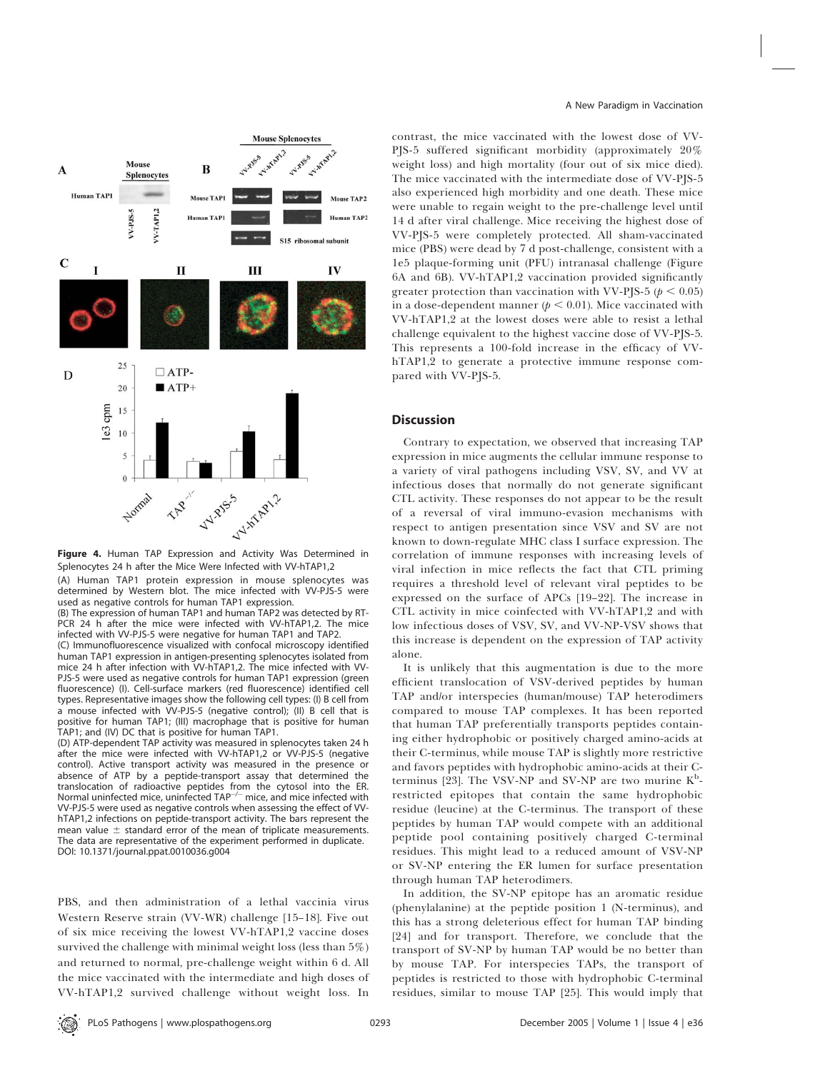

Figure 4. Human TAP Expression and Activity Was Determined in Splenocytes 24 h after the Mice Were Infected with VV-hTAP1,2

(A) Human TAP1 protein expression in mouse splenocytes was determined by Western blot. The mice infected with VV-PJS-5 were used as negative controls for human TAP1 expression.

(B) The expression of human TAP1 and human TAP2 was detected by RT-PCR 24 h after the mice were infected with VV-hTAP1,2. The mice infected with VV-PJS-5 were negative for human TAP1 and TAP2.

(C) Immunofluorescence visualized with confocal microscopy identified human TAP1 expression in antigen-presenting splenocytes isolated from mice 24 h after infection with VV-hTAP1,2. The mice infected with VV-PJS-5 were used as negative controls for human TAP1 expression (green fluorescence) (I). Cell-surface markers (red fluorescence) identified cell types. Representative images show the following cell types: (I) B cell from a mouse infected with VV-PJS-5 (negative control); (II) B cell that is positive for human TAP1; (III) macrophage that is positive for human TAP1; and (IV) DC that is positive for human TAP1.

(D) ATP-dependent TAP activity was measured in splenocytes taken 24 h after the mice were infected with VV-hTAP1,2 or VV-PJS-5 (negative control). Active transport activity was measured in the presence or absence of ATP by a peptide-transport assay that determined the translocation of radioactive peptides from the cytosol into the ER. Normal uninfected mice, uninfected  $\text{TAP}^{-/-}$  mice, and mice infected with VV-PJS-5 were used as negative controls when assessing the effect of VVhTAP1,2 infections on peptide-transport activity. The bars represent the mean value  $\pm$  standard error of the mean of triplicate measurements. The data are representative of the experiment performed in duplicate. DOI: 10.1371/journal.ppat.0010036.g004

PBS, and then administration of a lethal vaccinia virus Western Reserve strain (VV-WR) challenge [15–18]. Five out of six mice receiving the lowest VV-hTAP1,2 vaccine doses survived the challenge with minimal weight loss (less than 5%) and returned to normal, pre-challenge weight within 6 d. All the mice vaccinated with the intermediate and high doses of VV-hTAP1,2 survived challenge without weight loss. In

contrast, the mice vaccinated with the lowest dose of VV-PJS-5 suffered significant morbidity (approximately 20% weight loss) and high mortality (four out of six mice died). The mice vaccinated with the intermediate dose of VV-PJS-5 also experienced high morbidity and one death. These mice were unable to regain weight to the pre-challenge level until 14 d after viral challenge. Mice receiving the highest dose of VV-PJS-5 were completely protected. All sham-vaccinated mice (PBS) were dead by 7 d post-challenge, consistent with a 1e5 plaque-forming unit (PFU) intranasal challenge (Figure 6A and 6B). VV-hTAP1,2 vaccination provided significantly greater protection than vaccination with VV-PJS-5 ( $p < 0.05$ ) in a dose-dependent manner ( $p < 0.01$ ). Mice vaccinated with VV-hTAP1,2 at the lowest doses were able to resist a lethal challenge equivalent to the highest vaccine dose of VV-PJS-5. This represents a 100-fold increase in the efficacy of VVhTAP1,2 to generate a protective immune response compared with VV-PJS-5.

#### **Discussion**

Contrary to expectation, we observed that increasing TAP expression in mice augments the cellular immune response to a variety of viral pathogens including VSV, SV, and VV at infectious doses that normally do not generate significant CTL activity. These responses do not appear to be the result of a reversal of viral immuno-evasion mechanisms with respect to antigen presentation since VSV and SV are not known to down-regulate MHC class I surface expression. The correlation of immune responses with increasing levels of viral infection in mice reflects the fact that CTL priming requires a threshold level of relevant viral peptides to be expressed on the surface of APCs [19–22]. The increase in CTL activity in mice coinfected with VV-hTAP1,2 and with low infectious doses of VSV, SV, and VV-NP-VSV shows that this increase is dependent on the expression of TAP activity alone.

It is unlikely that this augmentation is due to the more efficient translocation of VSV-derived peptides by human TAP and/or interspecies (human/mouse) TAP heterodimers compared to mouse TAP complexes. It has been reported that human TAP preferentially transports peptides containing either hydrophobic or positively charged amino-acids at their C-terminus, while mouse TAP is slightly more restrictive and favors peptides with hydrophobic amino-acids at their Cterminus [23]. The VSV-NP and SV-NP are two murine  $K^b$ restricted epitopes that contain the same hydrophobic residue (leucine) at the C-terminus. The transport of these peptides by human TAP would compete with an additional peptide pool containing positively charged C-terminal residues. This might lead to a reduced amount of VSV-NP or SV-NP entering the ER lumen for surface presentation through human TAP heterodimers.

In addition, the SV-NP epitope has an aromatic residue (phenylalanine) at the peptide position 1 (N-terminus), and this has a strong deleterious effect for human TAP binding [24] and for transport. Therefore, we conclude that the transport of SV-NP by human TAP would be no better than by mouse TAP. For interspecies TAPs, the transport of peptides is restricted to those with hydrophobic C-terminal residues, similar to mouse TAP [25]. This would imply that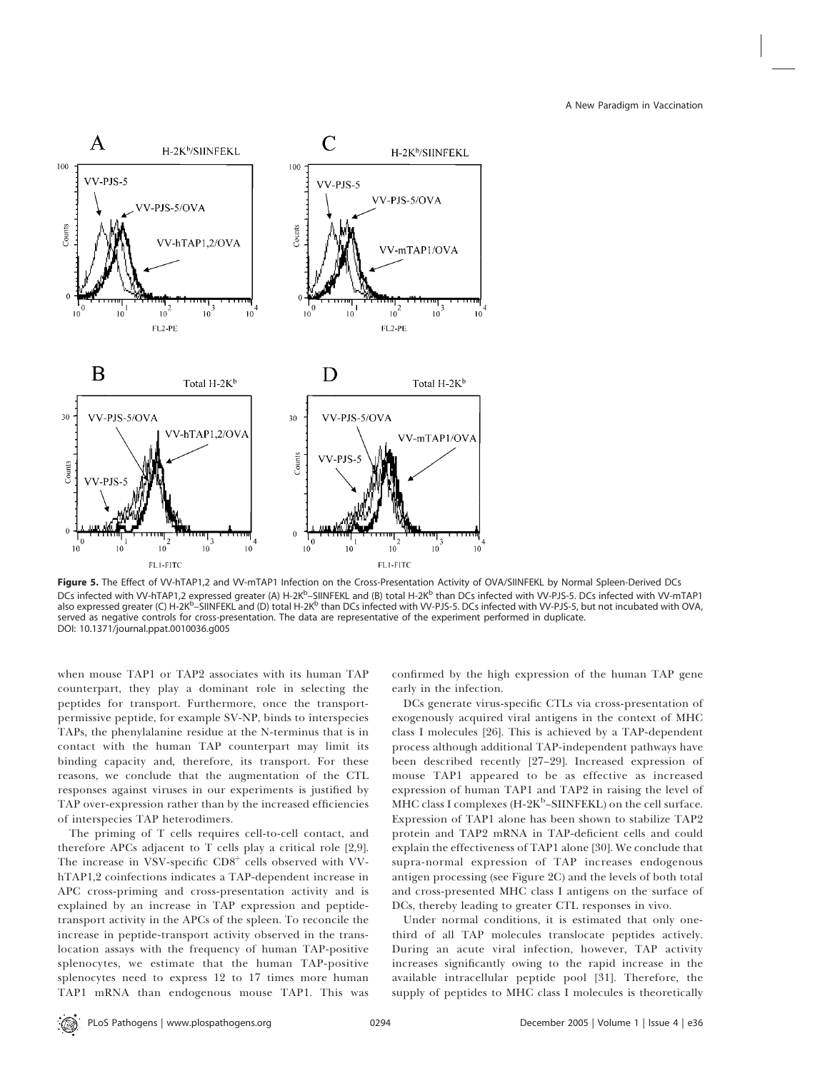

Figure 5. The Effect of VV-hTAP1,2 and VV-mTAP1 Infection on the Cross-Presentation Activity of OVA/SIINFEKL by Normal Spleen-Derived DCs DCs infected with VV-hTAP1,2 expressed greater (A) H-2K<sup>b</sup>-SIINFEKL and (B) total H-2K<sup>b</sup> than DCs infected with VV-PJS-5. DCs infected with VV-PITAP1 also expressed greater (C) H-2K<sup>b</sup>–SIINFEKL and (D) total H-2K<sup>b</sup> than DCs infected with VV-PJS-5. DCs infected with VV-PJS-5, but not incubated with OVA, served as negative controls for cross-presentation. The data are representative of the experiment performed in duplicate. DOI: 10.1371/journal.ppat.0010036.g005

when mouse TAP1 or TAP2 associates with its human TAP counterpart, they play a dominant role in selecting the peptides for transport. Furthermore, once the transportpermissive peptide, for example SV-NP, binds to interspecies TAPs, the phenylalanine residue at the N-terminus that is in contact with the human TAP counterpart may limit its binding capacity and, therefore, its transport. For these reasons, we conclude that the augmentation of the CTL responses against viruses in our experiments is justified by TAP over-expression rather than by the increased efficiencies of interspecies TAP heterodimers.

The priming of T cells requires cell-to-cell contact, and therefore APCs adjacent to T cells play a critical role [2,9]. The increase in VSV-specific  $CD8<sup>+</sup>$  cells observed with VVhTAP1,2 coinfections indicates a TAP-dependent increase in APC cross-priming and cross-presentation activity and is explained by an increase in TAP expression and peptidetransport activity in the APCs of the spleen. To reconcile the increase in peptide-transport activity observed in the translocation assays with the frequency of human TAP-positive splenocytes, we estimate that the human TAP-positive splenocytes need to express 12 to 17 times more human TAP1 mRNA than endogenous mouse TAP1. This was

confirmed by the high expression of the human TAP gene early in the infection.

DCs generate virus-specific CTLs via cross-presentation of exogenously acquired viral antigens in the context of MHC class I molecules [26]. This is achieved by a TAP-dependent process although additional TAP-independent pathways have been described recently [27–29]. Increased expression of mouse TAP1 appeared to be as effective as increased expression of human TAP1 and TAP2 in raising the level of MHC class I complexes (H-2 $K^b$ –SIINFEKL) on the cell surface. Expression of TAP1 alone has been shown to stabilize TAP2 protein and TAP2 mRNA in TAP-deficient cells and could explain the effectiveness of TAP1 alone [30]. We conclude that supra-normal expression of TAP increases endogenous antigen processing (see Figure 2C) and the levels of both total and cross-presented MHC class I antigens on the surface of DCs, thereby leading to greater CTL responses in vivo.

Under normal conditions, it is estimated that only onethird of all TAP molecules translocate peptides actively. During an acute viral infection, however, TAP activity increases significantly owing to the rapid increase in the available intracellular peptide pool [31]. Therefore, the supply of peptides to MHC class I molecules is theoretically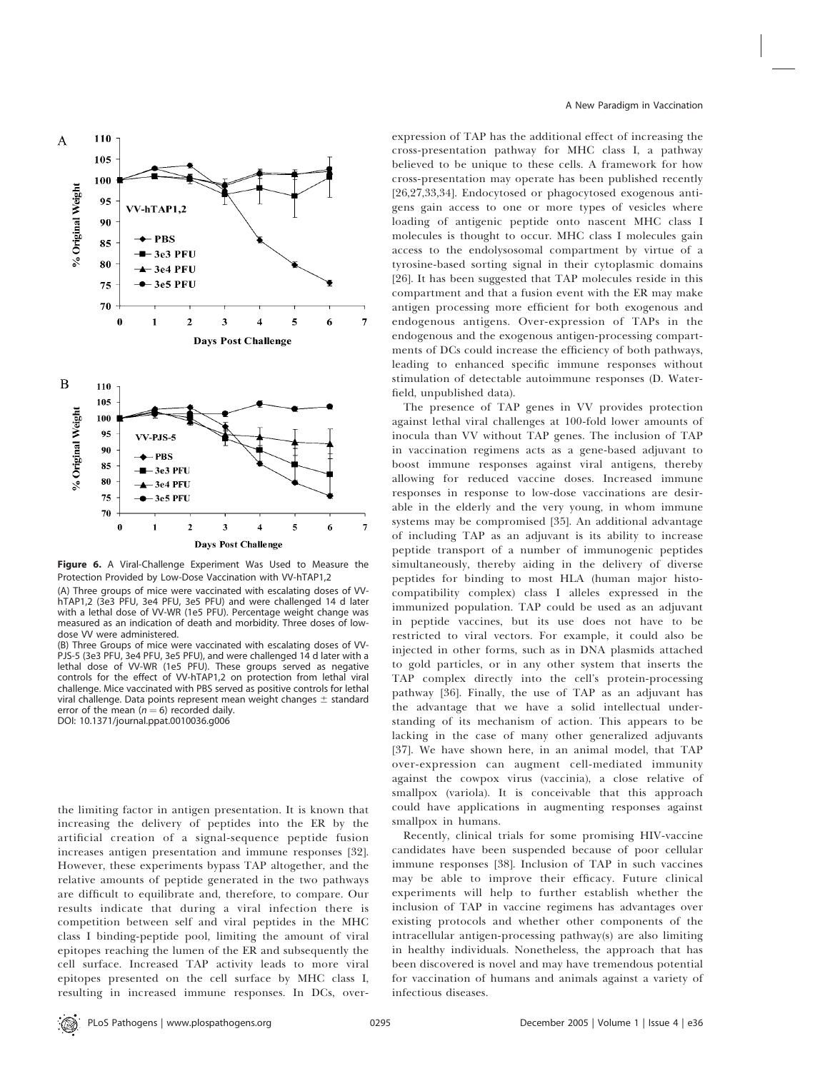

Figure 6. A Viral-Challenge Experiment Was Used to Measure the Protection Provided by Low-Dose Vaccination with VV-hTAP1,2

(A) Three groups of mice were vaccinated with escalating doses of VVhTAP1,2 (3e3 PFU, 3e4 PFU, 3e5 PFU) and were challenged 14 d later with a lethal dose of VV-WR (1e5 PFU). Percentage weight change was measured as an indication of death and morbidity. Three doses of lowdose VV were administered.

(B) Three Groups of mice were vaccinated with escalating doses of VV-PJS-5 (3e3 PFU, 3e4 PFU, 3e5 PFU), and were challenged 14 d later with a lethal dose of VV-WR (1e5 PFU). These groups served as negative controls for the effect of VV-hTAP1,2 on protection from lethal viral challenge. Mice vaccinated with PBS served as positive controls for lethal viral challenge. Data points represent mean weight changes  $\pm$  standard error of the mean ( $n = 6$ ) recorded daily. DOI: 10.1371/journal.ppat.0010036.g006

the limiting factor in antigen presentation. It is known that increasing the delivery of peptides into the ER by the artificial creation of a signal-sequence peptide fusion increases antigen presentation and immune responses [32]. However, these experiments bypass TAP altogether, and the relative amounts of peptide generated in the two pathways are difficult to equilibrate and, therefore, to compare. Our results indicate that during a viral infection there is competition between self and viral peptides in the MHC class I binding-peptide pool, limiting the amount of viral epitopes reaching the lumen of the ER and subsequently the cell surface. Increased TAP activity leads to more viral epitopes presented on the cell surface by MHC class I, resulting in increased immune responses. In DCs, over-

expression of TAP has the additional effect of increasing the cross-presentation pathway for MHC class I, a pathway believed to be unique to these cells. A framework for how cross-presentation may operate has been published recently [26,27,33,34]. Endocytosed or phagocytosed exogenous antigens gain access to one or more types of vesicles where loading of antigenic peptide onto nascent MHC class I molecules is thought to occur. MHC class I molecules gain access to the endolysosomal compartment by virtue of a tyrosine-based sorting signal in their cytoplasmic domains [26]. It has been suggested that TAP molecules reside in this compartment and that a fusion event with the ER may make antigen processing more efficient for both exogenous and endogenous antigens. Over-expression of TAPs in the endogenous and the exogenous antigen-processing compartments of DCs could increase the efficiency of both pathways, leading to enhanced specific immune responses without stimulation of detectable autoimmune responses (D. Waterfield, unpublished data).

The presence of TAP genes in VV provides protection against lethal viral challenges at 100-fold lower amounts of inocula than VV without TAP genes. The inclusion of TAP in vaccination regimens acts as a gene-based adjuvant to boost immune responses against viral antigens, thereby allowing for reduced vaccine doses. Increased immune responses in response to low-dose vaccinations are desirable in the elderly and the very young, in whom immune systems may be compromised [35]. An additional advantage of including TAP as an adjuvant is its ability to increase peptide transport of a number of immunogenic peptides simultaneously, thereby aiding in the delivery of diverse peptides for binding to most HLA (human major histocompatibility complex) class I alleles expressed in the immunized population. TAP could be used as an adjuvant in peptide vaccines, but its use does not have to be restricted to viral vectors. For example, it could also be injected in other forms, such as in DNA plasmids attached to gold particles, or in any other system that inserts the TAP complex directly into the cell's protein-processing pathway [36]. Finally, the use of TAP as an adjuvant has the advantage that we have a solid intellectual understanding of its mechanism of action. This appears to be lacking in the case of many other generalized adjuvants [37]. We have shown here, in an animal model, that TAP over-expression can augment cell-mediated immunity against the cowpox virus (vaccinia), a close relative of smallpox (variola). It is conceivable that this approach could have applications in augmenting responses against smallpox in humans.

Recently, clinical trials for some promising HIV-vaccine candidates have been suspended because of poor cellular immune responses [38]. Inclusion of TAP in such vaccines may be able to improve their efficacy. Future clinical experiments will help to further establish whether the inclusion of TAP in vaccine regimens has advantages over existing protocols and whether other components of the intracellular antigen-processing pathway(s) are also limiting in healthy individuals. Nonetheless, the approach that has been discovered is novel and may have tremendous potential for vaccination of humans and animals against a variety of infectious diseases.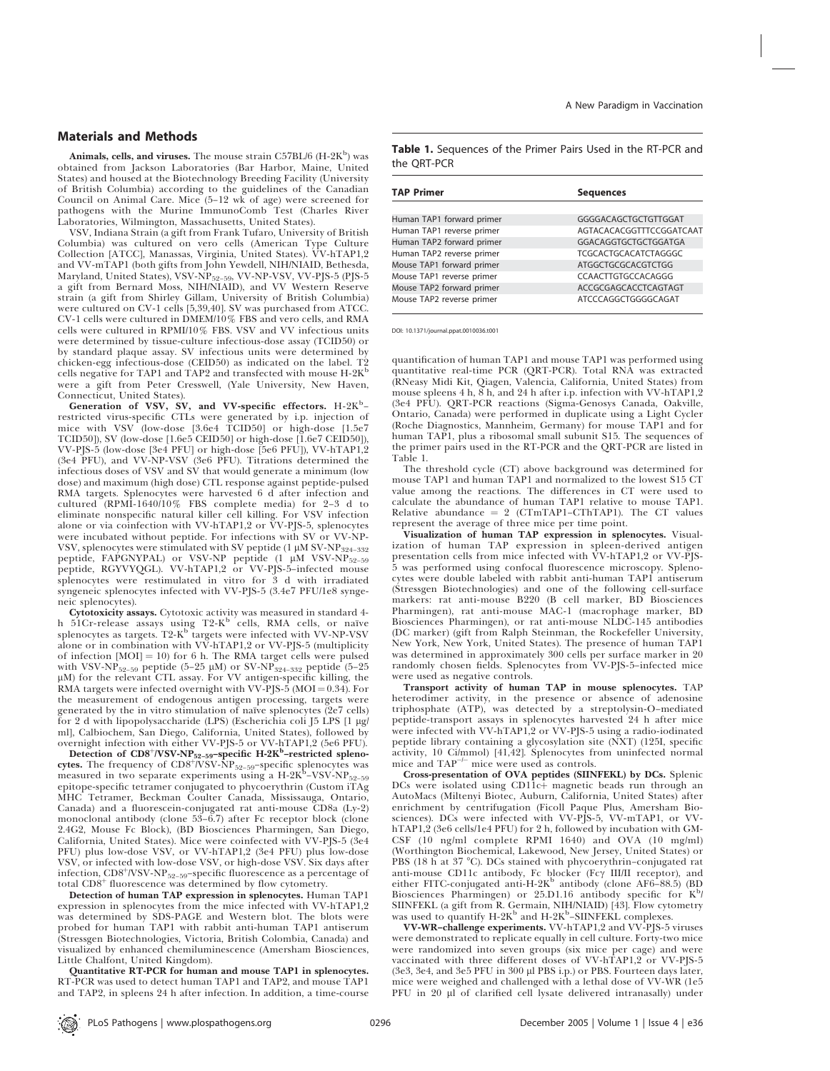#### Materials and Methods

Animals, cells, and viruses. The mouse strain C57BL/6  $(\mathrm{H-2K}^{\mathrm{b}})$  was obtained from Jackson Laboratories (Bar Harbor, Maine, United States) and housed at the Biotechnology Breeding Facility (University of British Columbia) according to the guidelines of the Canadian Council on Animal Care. Mice (5–12 wk of age) were screened for pathogens with the Murine ImmunoComb Test (Charles River Laboratories, Wilmington, Massachusetts, United States).

VSV, Indiana Strain (a gift from Frank Tufaro, University of British Columbia) was cultured on vero cells (American Type Culture Collection [ATCC], Manassas, Virginia, United States). VV-hTAP1,2 and VV-mTAP1 (both gifts from John Yewdell, NIH/NIAID, Bethesda, Maryland, United States), VSV-NP<sub>52–59</sub>, VV-NP-VSV, VV-PJS-5 (PJS-5 a gift from Bernard Moss, NIH/NIAID), and VV Western Reserve strain (a gift from Shirley Gillam, University of British Columbia) were cultured on CV-1 cells [5,39,40]. SV was purchased from ATCC. CV-1 cells were cultured in DMEM/10% FBS and vero cells, and RMA cells were cultured in RPMI/10% FBS. VSV and VV infectious units were determined by tissue-culture infectious-dose assay (TCID50) or by standard plaque assay. SV infectious units were determined by chicken-egg infectious-dose (CEID50) as indicated on the label. T2 cells negative for TAP1 and TAP2 and transfected with mouse H-2K<sup>b</sup> were a gift from Peter Cresswell, (Yale University, New Haven, Connecticut, United States).

Generation of VSV, SV, and VV-specific effectors.  $H-2K^b$ restricted virus-specific CTLs were generated by i.p. injection of mice with VSV (low-dose [3.6e4 TCID50] or high-dose [1.5e7 TCID50]), SV (low-dose [1.6e5 CEID50] or high-dose [1.6e7 CEID50]), VV-PJS-5 (low-dose [3e4 PFU] or high-dose [5e6 PFU]), VV-hTAP1,2 (3e4 PFU), and VV-NP-VSV (3e6 PFU). Titrations determined the infectious doses of VSV and SV that would generate a minimum (low dose) and maximum (high dose) CTL response against peptide-pulsed RMA targets. Splenocytes were harvested 6 d after infection and cultured (RPMI-1640/10% FBS complete media) for 2–3 d to eliminate nonspecific natural killer cell killing. For VSV infection alone or via coinfection with VV-hTAP1,2 or  $\rm\bar{V}V$ -PJS-5, splenocytes were incubated without peptide. For infections with SV or VV-NP-VSV, splenocytes were stimulated with SV peptide (1  $\mu$ M SV-NP<sub>324–332</sub>) peptide, FAPGNYPAL) or VSV-NP peptide (1 µM VSV-NP<sub>52-59</sub> peptide, RGYVYQGL). VV-hTAP1,2 or VV-PJS-5–infected mouse splenocytes were restimulated in vitro for 3 d with irradiated syngeneic splenocytes infected with VV-PJS-5 (3.4e7 PFU/1e8 syngeneic splenocytes).

Cytotoxicity assays. Cytotoxic activity was measured in standard 4 h 51Cr-release assays using  $T2-K^b$  cells, RMA cells, or naïve splenocytes as targets.  $T2-K^b$  targets were infected with VV-NP-VSV alone or in combination with VV-hTAP1,2 or VV-PJS-5 (multiplicity of infection  $[MOI] = 10$ ) for 6 h. The RMA target cells were pulsed with VSV-NP<sub>52–59</sub> peptide (5–25  $\mu$ M) or SV-NP<sub>324–332</sub> peptide (5–25 lM) for the relevant CTL assay. For VV antigen-specific killing, the RMA targets were infected overnight with VV-PJS-5 (MOI =  $0.34$ ). For the measurement of endogenous antigen processing, targets were generated by the in vitro stimulation of naïve splenocytes (2e7 cells) for 2 d with lipopolysaccharide (LPS) (Escherichia coli J5 LPS [1 lg/ ml], Calbiochem, San Diego, California, United States), followed by overnight infection with either VV-PJS-5 or VV-hTAP1,2 (5e6 PFU).

**Detection of CD8<sup>+</sup>/VSV-NP<sub>52–59</sub>–specific H-2K<sup>b</sup>–restricted spleno-cytes.** The frequency of CD8<sup>+</sup>/VSV-NP<sub>52–59</sub>–specific splenocytes was measured in two separate experiments using a H-2K<sup>b</sup>–VSV-NP<sub>52–59</sub> epitope-specific tetramer conjugated to phycoerythrin (Custom iTAg MHC Tetramer, Beckman Coulter Canada, Mississauga, Ontario, Canada) and a fluorescein-conjugated rat anti-mouse CD8a (Ly-2) monoclonal antibody (clone 53–6.7) after Fc receptor block (clone 2.4G2, Mouse Fc Block), (BD Biosciences Pharmingen, San Diego, California, United States). Mice were coinfected with VV-PJS-5 (3e4 PFU) plus low-dose VSV, or VV-hTAP1,2 (3e4 PFU) plus low-dose VSV, or infected with low-dose VSV, or high-dose VSV. Six days after infection,  $CD8^+$ *NSV-NP*<sub>52–59</sub>-specific fluorescence as a percentage of total  $CD8<sup>+</sup>$  fluorescence was determined by flow cytometry.

Detection of human TAP expression in splenocytes. Human TAP1 expression in splenocytes from the mice infected with VV-hTAP1,2 was determined by SDS-PAGE and Western blot. The blots were probed for human TAP1 with rabbit anti-human TAP1 antiserum (Stressgen Biotechnologies, Victoria, British Colombia, Canada) and visualized by enhanced chemiluminescence (Amersham Biosciences, Little Chalfont, United Kingdom).

Quantitative RT-PCR for human and mouse TAP1 in splenocytes. RT-PCR was used to detect human TAP1 and TAP2, and mouse TAP1 and TAP2, in spleens 24 h after infection. In addition, a time-course Table 1. Sequences of the Primer Pairs Used in the RT-PCR and the QRT-PCR

| <b>TAP Primer</b>         |                             |
|---------------------------|-----------------------------|
|                           | <b>Sequences</b>            |
|                           |                             |
| Human TAP1 forward primer | GGGGACAGCTGCTGTTGGAT        |
| Human TAP1 reverse primer | AGTACACACGGTTTCCGGATCAAT    |
| Human TAP2 forward primer | GGACAGGTGCTGCTGGATGA        |
| Human TAP2 reverse primer | <b>TCGCACTGCACATCTAGGGC</b> |
| Mouse TAP1 forward primer | ATGGCTGCGCACGTCTGG          |
| Mouse TAP1 reverse primer | CCAACTTGTGCCACAGGG          |
| Mouse TAP2 forward primer | ACCGCGAGCACCTCAGTAGT        |
| Mouse TAP2 reverse primer | ATCCCAGGCTGGGGCAGAT         |

DOI: 10.1371/journal.ppat.0010036.t001

quantification of human TAP1 and mouse TAP1 was performed using quantitative real-time PCR (QRT-PCR). Total RNA was extracted (RNeasy Midi Kit, Qiagen, Valencia, California, United States) from mouse spleens 4 h, 8 h, and 24 h after i.p. infection with VV-hTAP1,2 (3e4 PFU). QRT-PCR reactions (Sigma-Genosys Canada, Oakville, Ontario, Canada) were performed in duplicate using a Light Cycler (Roche Diagnostics, Mannheim, Germany) for mouse TAP1 and for human TAP1, plus a ribosomal small subunit S15. The sequences of the primer pairs used in the RT-PCR and the QRT-PCR are listed in Table 1.

The threshold cycle (CT) above background was determined for mouse TAP1 and human TAP1 and normalized to the lowest S15 CT value among the reactions. The differences in CT were used to calculate the abundance of human TAP1 relative to mouse TAP1. Relative abundance =  $2$  (CTmTAP1-CThTAP1). The CT values represent the average of three mice per time point.

Visualization of human TAP expression in splenocytes. Visualization of human TAP expression in spleen-derived antigen presentation cells from mice infected with  $\overline{VV}$ -hTAP1,2 or VV-PJS-5 was performed using confocal fluorescence microscopy. Splenocytes were double labeled with rabbit anti-human TAP1 antiserum (Stressgen Biotechnologies) and one of the following cell-surface markers: rat anti-mouse B220 (B cell marker, BD Biosciences Pharmingen), rat anti-mouse MAC-1 (macrophage marker, BD Biosciences Pharmingen), or rat anti-mouse NLDC-145 antibodies (DC marker) (gift from Ralph Steinman, the Rockefeller University, New York, New York, United States). The presence of human TAP1 was determined in approximately 300 cells per surface marker in 20 randomly chosen fields. Splenocytes from VV-PJS-5–infected mice were used as negative controls.

Transport activity of human TAP in mouse splenocytes. TAP heterodimer activity, in the presence or absence of adenosine triphosphate (ATP), was detected by a streptolysin-O–mediated peptide-transport assays in splenocytes harvested 24 h after mice were infected with VV-hTAP1,2 or VV-PJS-5 using a radio-iodinated peptide library containing a glycosylation site (NXT) (125I, specific activity, 10 Ci/mmol) [41,42]. Splenocytes from uninfected normal mice and  $TAP^{-/-}$  mice were used as controls.

Cross-presentation of OVA peptides (SIINFEKL) by DCs. Splenic DCs were isolated using CD11 $c$ <sup>+</sup> magnetic beads run through an AutoMacs (Miltenyi Biotec, Auburn, California, United States) after enrichment by centrifugation (Ficoll Paque Plus, Amersham Biosciences). DCs were infected with VV-PJS-5, VV-mTAP1, or VVhTAP1,2 (3e6 cells/1e4 PFU) for 2 h, followed by incubation with GM-CSF (10 ng/ml complete RPMI 1640) and OVA (10 mg/ml) (Worthington Biochemical, Lakewood, New Jersey, United States) or PBS (18 h at 37 °C). DCs stained with phycoerythrin-conjugated rat anti-mouse CD11c antibody, Fc blocker (Fc $\gamma$  III/II receptor), and either FITC-conjugated anti-H-2 $K^b$  antibody (clone AF6–88.5) (BD Biosciences Pharmingen) or 25.D1.16 antibody specific for  $K^b$ SIINFEKL (a gift from R. Germain, NIH/NIAID) [43]. Flow cytometry<br>was used to quantify H-2K<sup>b</sup> and H-2K<sup>b</sup>-SIINFEKL complexes.

VV-WR–challenge experiments. VV-hTAP1,2 and VV-PJS-5 viruses were demonstrated to replicate equally in cell culture. Forty-two mice were randomized into seven groups (six mice per cage) and were vaccinated with three different doses of VV-hTAP1,2 or VV-PJS-5 (3e3, 3e4, and 3e5 PFU in 300 ll PBS i.p.) or PBS. Fourteen days later, mice were weighed and challenged with a lethal dose of VV-WR (1e5 PFU in 20 µl of clarified cell lysate delivered intranasally) under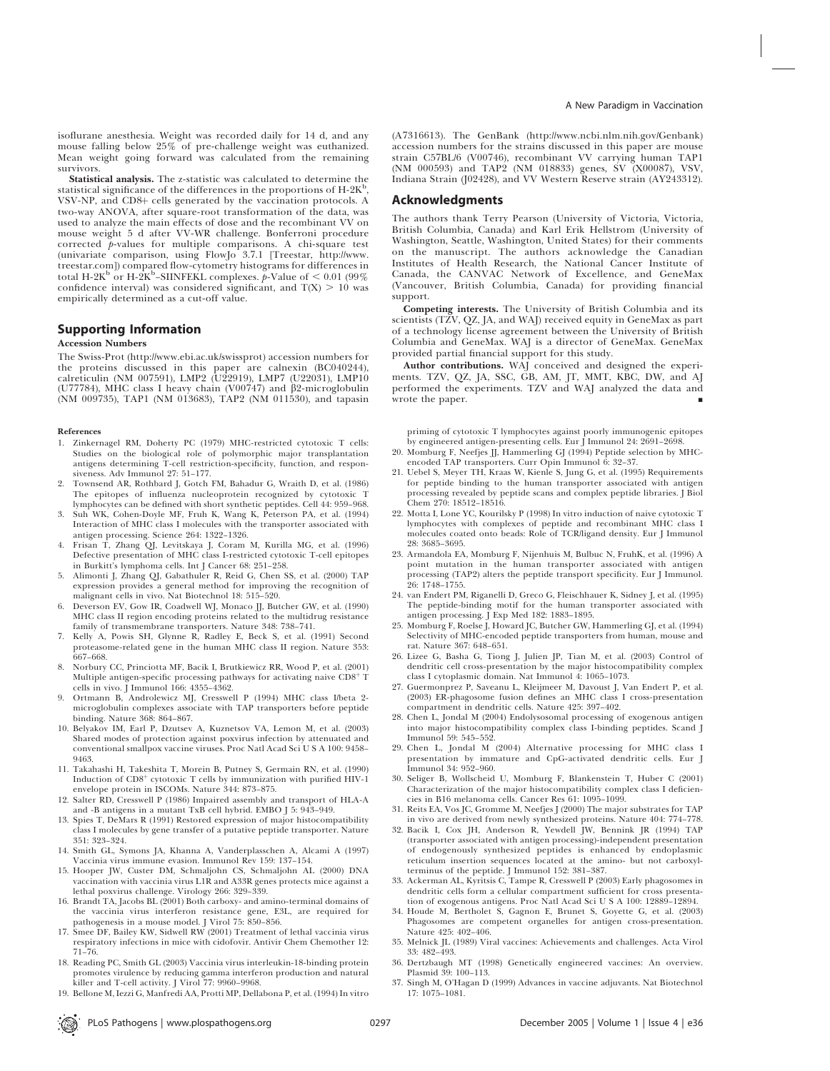isoflurane anesthesia. Weight was recorded daily for 14 d, and any mouse falling below 25% of pre-challenge weight was euthanized. Mean weight going forward was calculated from the remaining survivors.

Statistical analysis. The z-statistic was calculated to determine the statistical significance of the differences in the proportions of  $\mathrm{H}\text{-}2\mathrm{K}^{\mathrm{b}}$ , VSV-NP, and CD8+ cells generated by the vaccination protocols. A two-way ANOVA, after square-root transformation of the data, was used to analyze the main effects of dose and the recombinant VV on mouse weight 5 d after VV-WR challenge. Bonferroni procedure corrected p-values for multiple comparisons. A chi-square test (univariate comparison, using FlowJo 3.7.1 [Treestar, http://www. treestar.com]) compared flow-cytometry histograms for differences in total H-2K<sup>b</sup> or H-2K<sup>b</sup>–SIINFEKL complexes. p-Value of  $< 0.01$  (99%) confidence interval) was considered significant, and  $T(X) > 10$  was empirically determined as a cut-off value.

### Supporting Information

#### Accession Numbers

The Swiss-Prot (http://www.ebi.ac.uk/swissprot) accession numbers for the proteins discussed in this paper are calnexin (BC040244), calreticulin (NM 007591), LMP2 (U22919), LMP7 (U22031), LMP10 (U77784), MHC class I heavy chain (V00747) and  $\beta$ 2-microglobulin (NM 009735), TAP1 (NM 013683), TAP2 (NM 011530), and tapasin

#### References

- 1. Zinkernagel RM, Doherty PC (1979) MHC-restricted cytotoxic T cells: Studies on the biological role of polymorphic major transplantation antigens determining T-cell restriction-specificity, function, and responsiveness. Adv Immunol 27: 51–177.
- 2. Townsend AR, Rothbard J, Gotch FM, Bahadur G, Wraith D, et al. (1986) The epitopes of influenza nucleoprotein recognized by cytotoxic T lymphocytes can be defined with short synthetic peptides. Cell 44: 959–968.
- 3. Suh WK, Cohen-Doyle MF, Fruh K, Wang K, Peterson PA, et al. (1994) Interaction of MHC class I molecules with the transporter associated with antigen processing. Science 264: 1322–1326.
- 4. Frisan T, Zhang QJ, Levitskaya J, Coram M, Kurilla MG, et al. (1996) Defective presentation of MHC class I-restricted cytotoxic T-cell epitopes in Burkitt's lymphoma cells. Int J Cancer 68: 251–258.
- 5. Alimonti J, Zhang QJ, Gabathuler R, Reid G, Chen SS, et al. (2000) TAP expression provides a general method for improving the recognition of malignant cells in vivo. Nat Biotechnol 18: 515–520.
- Deverson EV, Gow IR, Coadwell WJ, Monaco JJ, Butcher GW, et al. (1990) MHC class II region encoding proteins related to the multidrug resistance family of transmembrane transporters. Nature 348: 738–741.
- 7. Kelly A, Powis SH, Glynne R, Radley E, Beck S, et al. (1991) Second proteasome-related gene in the human MHC class II region. Nature 353: 667–668.
- 8. Norbury CC, Princiotta MF, Bacik I, Brutkiewicz RR, Wood P, et al. (2001) Multiple antigen-specific processing pathways for activating naive  $CD8<sup>+</sup> T$ cells in vivo. J Immunol 166: 4355–4362.
- 9. Ortmann B, Androlewicz MJ, Cresswell P (1994) MHC class I/beta 2 microglobulin complexes associate with TAP transporters before peptide binding. Nature 368: 864–867.
- 10. Belyakov IM, Earl P, Dzutsev A, Kuznetsov VA, Lemon M, et al. (2003) Shared modes of protection against poxvirus infection by attenuated and conventional smallpox vaccine viruses. Proc Natl Acad Sci U S A 100: 9458– 9463.
- 11. Takahashi H, Takeshita T, Morein B, Putney S, Germain RN, et al. (1990) Induction of  $CD8<sup>+</sup>$  cytotoxic T cells by immunization with purified HIV-1 envelope protein in ISCOMs. Nature 344: 873–875.
- 12. Salter RD, Cresswell P (1986) Impaired assembly and transport of HLA-A and -B antigens in a mutant TxB cell hybrid. EMBO J 5: 943–949.
- 13. Spies T, DeMars R (1991) Restored expression of major histocompatibility class I molecules by gene transfer of a putative peptide transporter. Nature 351: 323–324.
- 14. Smith GL, Symons JA, Khanna A, Vanderplasschen A, Alcami A (1997) Vaccinia virus immune evasion. Immunol Rev 159: 137–154.
- 15. Hooper JW, Custer DM, Schmaljohn CS, Schmaljohn AL (2000) DNA vaccination with vaccinia virus L1R and A33R genes protects mice against a lethal poxvirus challenge. Virology 266: 329–339.
- 16. Brandt TA, Jacobs BL (2001) Both carboxy- and amino-terminal domains of the vaccinia virus interferon resistance gene, E3L, are required for pathogenesis in a mouse model. J Virol 75: 850–856.
- 17. Smee DF, Bailey KW, Sidwell RW (2001) Treatment of lethal vaccinia virus respiratory infections in mice with cidofovir. Antivir Chem Chemother 12: 71–76.
- 18. Reading PC, Smith GL (2003) Vaccinia virus interleukin-18-binding protein promotes virulence by reducing gamma interferon production and natural killer and T-cell activity. J Virol 77: 9960–9968.
- 19. Bellone M, Iezzi G, Manfredi AA, Protti MP, Dellabona P, et al. (1994) In vitro

(A7316613). The GenBank (http://www.ncbi.nlm.nih.gov/Genbank) accession numbers for the strains discussed in this paper are mouse strain C57BL/6 (V00746), recombinant VV carrying human TAP1 (NM 000593) and TAP2 (NM 018833) genes, SV (X00087), VSV, Indiana Strain (J02428), and VV Western Reserve strain (AY243312).

#### Acknowledgments

The authors thank Terry Pearson (University of Victoria, Victoria, British Columbia, Canada) and Karl Erik Hellstrom (University of Washington, Seattle, Washington, United States) for their comments on the manuscript. The authors acknowledge the Canadian Institutes of Health Research, the National Cancer Institute of Canada, the CANVAC Network of Excellence, and GeneMax (Vancouver, British Columbia, Canada) for providing financial support.

Competing interests. The University of British Columbia and its scientists (TZV, QZ, JA, and WAJ) received equity in GeneMax as part of a technology license agreement between the University of British Columbia and GeneMax. WAJ is a director of GeneMax. GeneMax provided partial financial support for this study.

Author contributions. WAJ conceived and designed the experiments. TZV, QZ, JA, SSC, GB, AM, JT, MMT, KBC, DW, and AJ performed the experiments. TZV and WAJ analyzed the data and wrote the paper.

priming of cytotoxic T lymphocytes against poorly immunogenic epitopes by engineered antigen-presenting cells. Eur J Immunol 24: 2691–2698.

- 20. Momburg F, Neefjes JJ, Hammerling GJ (1994) Peptide selection by MHCencoded TAP transporters. Curr Opin Immunol 6: 32–37.
- 21. Uebel S, Meyer TH, Kraas W, Kienle S, Jung G, et al. (1995) Requirements for peptide binding to the human transporter associated with antigen processing revealed by peptide scans and complex peptide libraries. J Biol Chem 270: 18512–18516.
- 22. Motta I, Lone YC, Kourilsky P (1998) In vitro induction of naive cytotoxic T lymphocytes with complexes of peptide and recombinant MHC class I molecules coated onto beads: Role of TCR/ligand density. Eur J Immunol 28: 3685–3695.
- 23. Armandola EA, Momburg F, Nijenhuis M, Bulbuc N, FruhK, et al. (1996) A point mutation in the human transporter associated with antigen processing (TAP2) alters the peptide transport specificity. Eur J Immunol. 26: 1748–1755.
- 24. van Endert PM, Riganelli D, Greco G, Fleischhauer K, Sidney J, et al. (1995) The peptide-binding motif for the human transporter associated with antigen processing. J Exp Med 182: 1883–1895.
- 25. Momburg F, Roelse J, Howard JC, Butcher GW, Hammerling GJ, et al. (1994) Selectivity of MHC-encoded peptide transporters from human, mouse and rat. Nature 367: 648–651.
- 26. Lizee G, Basha G, Tiong J, Julien JP, Tian M, et al. (2003) Control of dendritic cell cross-presentation by the major histocompatibility complex class I cytoplasmic domain. Nat Immunol 4: 1065–1073.
- 27. Guermonprez P, Saveanu L, Kleijmeer M, Davoust J, Van Endert P, et al. (2003) ER-phagosome fusion defines an MHC class I cross-presentation compartment in dendritic cells. Nature 425: 397–402.
- 28. Chen L, Jondal M (2004) Endolysosomal processing of exogenous antigen into major histocompatibility complex class I-binding peptides. Scand J Immunol 59: 545–552.
- 29. Chen L, Jondal M (2004) Alternative processing for MHC class I presentation by immature and CpG-activated dendritic cells. Eur J Immunol 34: 952–960.
- 30. Seliger B, Wollscheid U, Momburg F, Blankenstein T, Huber C (2001) Characterization of the major histocompatibility complex class I deficiencies in B16 melanoma cells. Cancer Res 61: 1095–1099.
- 31. Reits EA, Vos JC, Gromme M, Neefjes J (2000) The major substrates for TAP in vivo are derived from newly synthesized proteins. Nature 404: 774–778.
- 32. Bacik I, Cox JH, Anderson R, Yewdell JW, Bennink JR (1994) TAP (transporter associated with antigen processing)-independent presentation of endogenously synthesized peptides is enhanced by endoplasmic reticulum insertion sequences located at the amino- but not carboxylterminus of the peptide. J Immunol 152: 381–387.
- 33. Ackerman AL, Kyritsis C, Tampe R, Cresswell P (2003) Early phagosomes in dendritic cells form a cellular compartment sufficient for cross presentation of exogenous antigens. Proc Natl Acad Sci U S A 100: 12889–12894.
- 34. Houde M, Bertholet S, Gagnon E, Brunet S, Goyette G, et al. (2003) Phagosomes are competent organelles for antigen cross-presentation. Nature 425: 402–406.
- 35. Melnick JL (1989) Viral vaccines: Achievements and challenges. Acta Virol 33: 482–493.
- 36. Dertzbaugh MT (1998) Genetically engineered vaccines: An overview. Plasmid 39: 100–113.
- 37. Singh M, O'Hagan D (1999) Advances in vaccine adjuvants. Nat Biotechnol 17: 1075–1081.